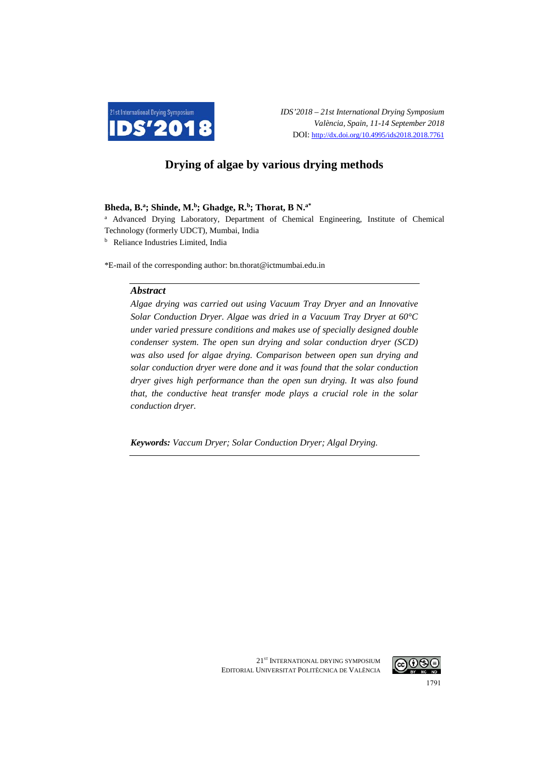

# **Drying of algae by various drying methods**

## **Bheda, B.a ; Shinde, M.b; Ghadge, R. b; Thorat, B N.a\***

<sup>a</sup> Advanced Drying Laboratory, Department of Chemical Engineering, Institute of Chemical Technology (formerly UDCT), Mumbai, India

<sup>b</sup> Reliance Industries Limited, India

\*E-mail of the corresponding author: bn.thorat@ictmumbai.edu.in

#### *Abstract*

*Algae drying was carried out using Vacuum Tray Dryer and an Innovative Solar Conduction Dryer. Algae was dried in a Vacuum Tray Dryer at 60°C under varied pressure conditions and makes use of specially designed double condenser system. The open sun drying and solar conduction dryer (SCD) was also used for algae drying. Comparison between open sun drying and solar conduction dryer were done and it was found that the solar conduction dryer gives high performance than the open sun drying. It was also found that, the conductive heat transfer mode plays a crucial role in the solar conduction dryer.*

*Keywords: Vaccum Dryer; Solar Conduction Dryer; Algal Drying.*

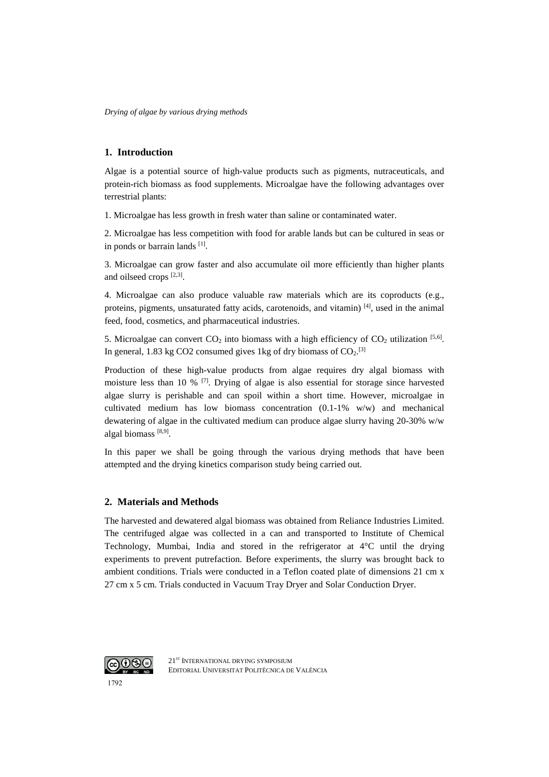# **1. Introduction**

Algae is a potential source of high-value products such as pigments, nutraceuticals, and protein-rich biomass as food supplements. Microalgae have the following advantages over terrestrial plants:

1. Microalgae has less growth in fresh water than saline or contaminated water.

2. Microalgae has less competition with food for arable lands but can be cultured in seas or in ponds or barrain lands  $[1]$ .

3. Microalgae can grow faster and also accumulate oil more efficiently than higher plants and oilseed crops  $[2,3]$ .

4. Microalgae can also produce valuable raw materials which are its coproducts (e.g., proteins, pigments, unsaturated fatty acids, carotenoids, and vitamin)  $^{[4]}$ , used in the animal feed, food, cosmetics, and pharmaceutical industries.

5. Microalgae can convert  $CO_2$  into biomass with a high efficiency of  $CO_2$  utilization [5,6]. In general, 1.83 kg CO2 consumed gives 1 kg of dry biomass of  $CO<sub>2</sub>$ .<sup>[3]</sup>

Production of these high-value products from algae requires dry algal biomass with moisture less than 10 %  $^{[7]}$ . Drying of algae is also essential for storage since harvested algae slurry is perishable and can spoil within a short time. However, microalgae in cultivated medium has low biomass concentration (0.1-1% w/w) and mechanical dewatering of algae in the cultivated medium can produce algae slurry having 20-30% w/w algal biomass [8,9].

In this paper we shall be going through the various drying methods that have been attempted and the drying kinetics comparison study being carried out.

## **2. Materials and Methods**

The harvested and dewatered algal biomass was obtained from Reliance Industries Limited. The centrifuged algae was collected in a can and transported to Institute of Chemical Technology, Mumbai, India and stored in the refrigerator at 4°C until the drying experiments to prevent putrefaction. Before experiments, the slurry was brought back to ambient conditions. Trials were conducted in a Teflon coated plate of dimensions 21 cm x 27 cm x 5 cm. Trials conducted in Vacuum Tray Dryer and Solar Conduction Dryer.

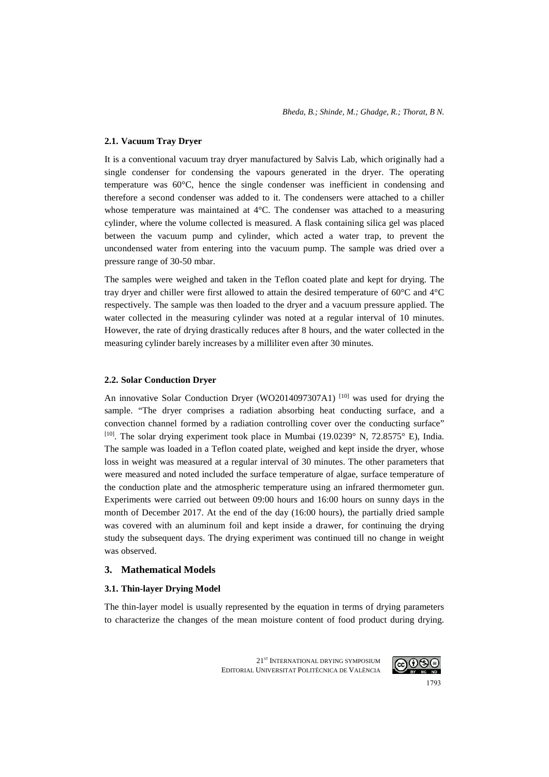## **2.1. Vacuum Tray Dryer**

It is a conventional vacuum tray dryer manufactured by Salvis Lab, which originally had a single condenser for condensing the vapours generated in the dryer. The operating temperature was 60°C, hence the single condenser was inefficient in condensing and therefore a second condenser was added to it. The condensers were attached to a chiller whose temperature was maintained at 4°C. The condenser was attached to a measuring cylinder, where the volume collected is measured. A flask containing silica gel was placed between the vacuum pump and cylinder, which acted a water trap, to prevent the uncondensed water from entering into the vacuum pump. The sample was dried over a pressure range of 30-50 mbar.

The samples were weighed and taken in the Teflon coated plate and kept for drying. The tray dryer and chiller were first allowed to attain the desired temperature of 60°C and 4°C respectively. The sample was then loaded to the dryer and a vacuum pressure applied. The water collected in the measuring cylinder was noted at a regular interval of 10 minutes. However, the rate of drying drastically reduces after 8 hours, and the water collected in the measuring cylinder barely increases by a milliliter even after 30 minutes.

#### **2.2. Solar Conduction Dryer**

An innovative Solar Conduction Dryer (WO2014097307A1) <sup>[10]</sup> was used for drying the sample. "The dryer comprises a radiation absorbing heat conducting surface, and a convection channel formed by a radiation controlling cover over the conducting surface" [10]. The solar drying experiment took place in Mumbai (19.0239° N, 72.8575° E), India. The sample was loaded in a Teflon coated plate, weighed and kept inside the dryer, whose loss in weight was measured at a regular interval of 30 minutes. The other parameters that were measured and noted included the surface temperature of algae, surface temperature of the conduction plate and the atmospheric temperature using an infrared thermometer gun. Experiments were carried out between 09:00 hours and 16:00 hours on sunny days in the month of December 2017. At the end of the day (16:00 hours), the partially dried sample was covered with an aluminum foil and kept inside a drawer, for continuing the drying study the subsequent days. The drying experiment was continued till no change in weight was observed.

## **3. Mathematical Models**

## **3.1. Thin-layer Drying Model**

The thin-layer model is usually represented by the equation in terms of drying parameters to characterize the changes of the mean moisture content of food product during drying.

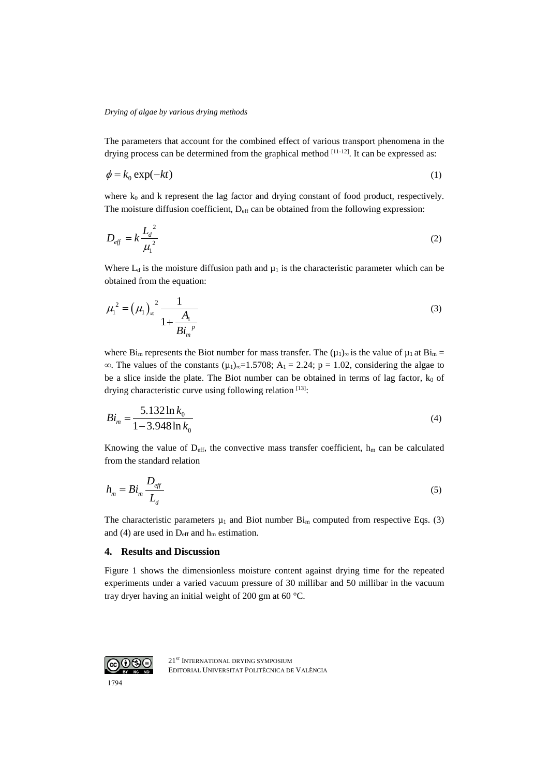The parameters that account for the combined effect of various transport phenomena in the drying process can be determined from the graphical method  $[11-12]$ . It can be expressed as:

$$
\phi = k_0 \exp(-kt) \tag{1}
$$

where  $k_0$  and k represent the lag factor and drying constant of food product, respectively. The moisture diffusion coefficient,  $D_{\text{eff}}$  can be obtained from the following expression:

$$
D_{\text{eff}} = k \frac{L_d^2}{\mu_1^2} \tag{2}
$$

Where  $L_d$  is the moisture diffusion path and  $\mu_1$  is the characteristic parameter which can be obtained from the equation:

$$
\mu_1^2 = (\mu_1)_\infty^2 \frac{1}{1 + \frac{A_1}{B i_m^p}}
$$
\n(3)

where Bi<sub>m</sub> represents the Biot number for mass transfer. The  $(\mu_1)_{\infty}$  is the value of  $\mu_1$  at Bi<sub>m</sub> = ∞. The values of the constants  $(\mu_1)_{\infty} = 1.5708$ ; A<sub>1</sub> = 2.24; p = 1.02, considering the algae to be a slice inside the plate. The Biot number can be obtained in terms of lag factor,  $k_0$  of drying characteristic curve using following relation [13]:

$$
Bi_m = \frac{5.132 \ln k_0}{1 - 3.948 \ln k_0}
$$
 (4)

Knowing the value of  $D_{\text{eff}}$ , the convective mass transfer coefficient,  $h_m$  can be calculated from the standard relation

$$
h_m = Bi_m \frac{D_{\text{eff}}}{L_d} \tag{5}
$$

The characteristic parameters  $\mu_1$  and Biot number  $\text{Bi}_{\text{m}}$  computed from respective Eqs. (3) and (4) are used in  $D_{\text{eff}}$  and  $h_{\text{m}}$  estimation.

#### **4. Results and Discussion**

Figure 1 shows the dimensionless moisture content against drying time for the repeated experiments under a varied vacuum pressure of 30 millibar and 50 millibar in the vacuum tray dryer having an initial weight of 200 gm at 60 °C.

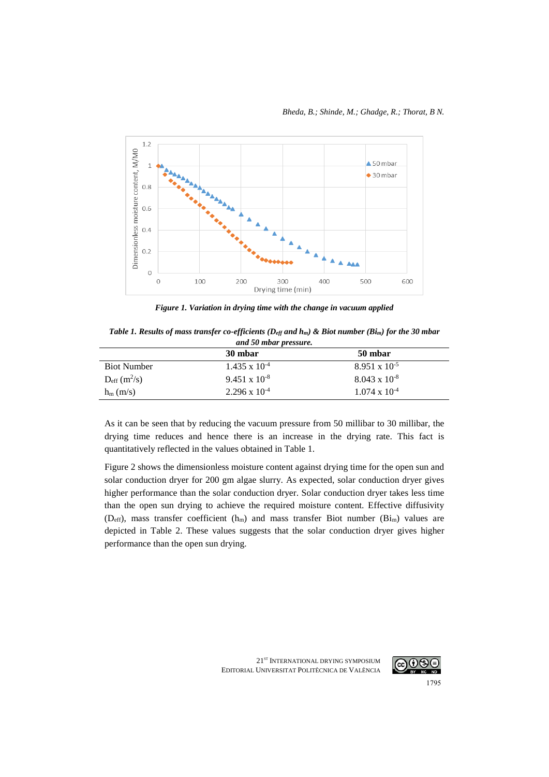

*Figure 1. Variation in drying time with the change in vacuum applied*

*Table 1. Results of mass transfer co-efficients (Deff and hm) & Biot number (Bim) for the 30 mbar and 50 mbar pressure.*

|                               | 30 mbar                | 50 mbar                |  |
|-------------------------------|------------------------|------------------------|--|
| <b>Biot Number</b>            | $1.435 \times 10^{-4}$ | $8.951 \times 10^{-5}$ |  |
| $D_{eff}$ (m <sup>2</sup> /s) | $9.451 \times 10^{-8}$ | $8.043 \times 10^{-8}$ |  |
| $h_m$ (m/s)                   | $2.296 \times 10^{-4}$ | $1.074 \times 10^{-4}$ |  |

As it can be seen that by reducing the vacuum pressure from 50 millibar to 30 millibar, the drying time reduces and hence there is an increase in the drying rate. This fact is quantitatively reflected in the values obtained in Table 1.

Figure 2 shows the dimensionless moisture content against drying time for the open sun and solar conduction dryer for 200 gm algae slurry. As expected, solar conduction dryer gives higher performance than the solar conduction dryer. Solar conduction dryer takes less time than the open sun drying to achieve the required moisture content. Effective diffusivity ( $D_{\text{eff}}$ ), mass transfer coefficient ( $h_m$ ) and mass transfer Biot number ( $B_{\text{im}}$ ) values are depicted in Table 2. These values suggests that the solar conduction dryer gives higher performance than the open sun drying.

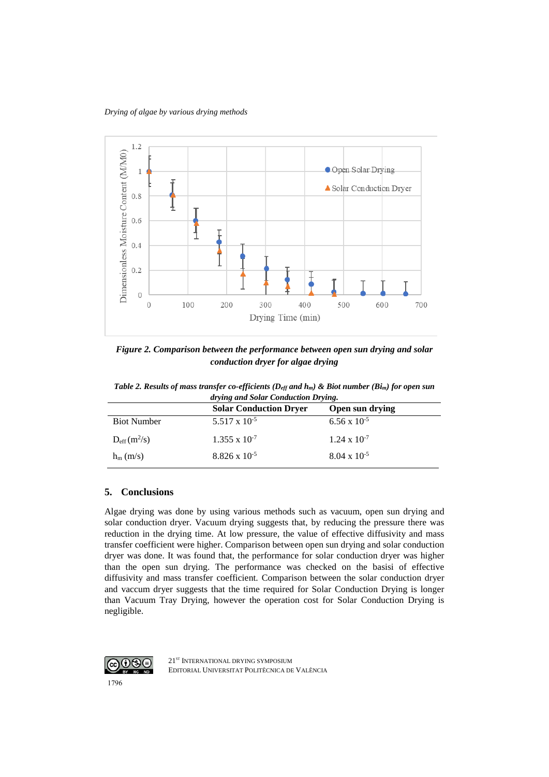

*Figure 2. Comparison between the performance between open sun drying and solar conduction dryer for algae drying*

*Table 2. Results of mass transfer co-efficients (Deff and hm) & Biot number (Bim) for open sun drying and Solar Conduction Drying.*

|                    | <b>Solar Conduction Dryer</b> | Open sun drying       |
|--------------------|-------------------------------|-----------------------|
| <b>Biot Number</b> | $5.517 \times 10^{-5}$        | $6.56 \times 10^{-5}$ |
| $D_{eff}(m^2/s)$   | $1.355 \times 10^{-7}$        | $1.24 \times 10^{-7}$ |
| $h_m$ (m/s)        | $8.826 \times 10^{-5}$        | $8.04 \times 10^{-5}$ |

## **5. Conclusions**

Algae drying was done by using various methods such as vacuum, open sun drying and solar conduction dryer. Vacuum drying suggests that, by reducing the pressure there was reduction in the drying time. At low pressure, the value of effective diffusivity and mass transfer coefficient were higher. Comparison between open sun drying and solar conduction dryer was done. It was found that, the performance for solar conduction dryer was higher than the open sun drying. The performance was checked on the basisi of effective diffusivity and mass transfer coefficient. Comparison between the solar conduction dryer and vaccum dryer suggests that the time required for Solar Conduction Drying is longer than Vacuum Tray Drying, however the operation cost for Solar Conduction Drying is negligible.